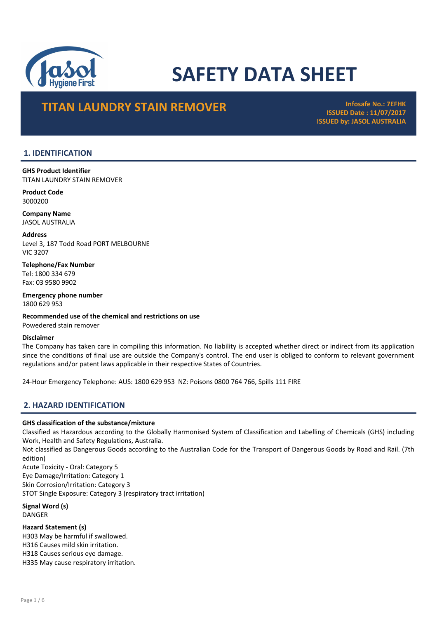

# SAFETY DATA SHEET

# **TITAN LAUNDRY STAIN REMOVER Infosafe No.: 7EFHK**

ISSUED Date : 11/07/2017 ISSUED by: JASOL AUSTRALIA

## 1. IDENTIFICATION

GHS Product Identifier TITAN LAUNDRY STAIN REMOVER

Product Code 3000200

Company Name JASOL AUSTRALIA

Address Level 3, 187 Todd Road PORT MELBOURNE VIC 3207

Telephone/Fax Number Tel: 1800 334 679 Fax: 03 9580 9902

Emergency phone number 1800 629 953

Recommended use of the chemical and restrictions on use Powedered stain remover

## Disclaimer

The Company has taken care in compiling this information. No liability is accepted whether direct or indirect from its application since the conditions of final use are outside the Company's control. The end user is obliged to conform to relevant government regulations and/or patent laws applicable in their respective States of Countries.

24-Hour Emergency Telephone: AUS: 1800 629 953 NZ: Poisons 0800 764 766, Spills 111 FIRE

## 2. HAZARD IDENTIFICATION

## GHS classification of the substance/mixture

Classified as Hazardous according to the Globally Harmonised System of Classification and Labelling of Chemicals (GHS) including Work, Health and Safety Regulations, Australia.

Not classified as Dangerous Goods according to the Australian Code for the Transport of Dangerous Goods by Road and Rail. (7th edition)

Acute Toxicity - Oral: Category 5 Eye Damage/Irritation: Category 1 Skin Corrosion/Irritation: Category 3 STOT Single Exposure: Category 3 (respiratory tract irritation)

Signal Word (s) DANGER

Hazard Statement (s) H303 May be harmful if swallowed. H316 Causes mild skin irritation. H318 Causes serious eye damage. H335 May cause respiratory irritation.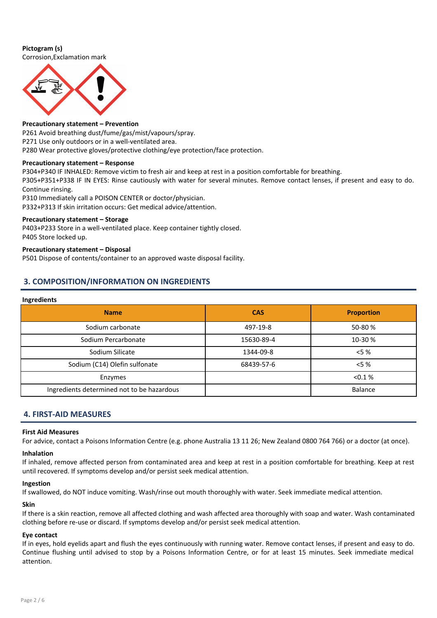## Pictogram (s)

Corrosion,Exclamation mark



#### Precautionary statement – Prevention

P261 Avoid breathing dust/fume/gas/mist/vapours/spray. P271 Use only outdoors or in a well-ventilated area. P280 Wear protective gloves/protective clothing/eye protection/face protection.

## Precautionary statement – Response

P304+P340 IF INHALED: Remove victim to fresh air and keep at rest in a position comfortable for breathing. P305+P351+P338 IF IN EYES: Rinse cautiously with water for several minutes. Remove contact lenses, if present and easy to do. Continue rinsing.

P310 Immediately call a POISON CENTER or doctor/physician. P332+P313 If skin irritation occurs: Get medical advice/attention.

## Precautionary statement – Storage

P403+P233 Store in a well-ventilated place. Keep container tightly closed. P405 Store locked up.

## Precautionary statement – Disposal

P501 Dispose of contents/container to an approved waste disposal facility.

## 3. COMPOSITION/INFORMATION ON INGREDIENTS

#### Ingredients

| ັ                                          |            |                   |
|--------------------------------------------|------------|-------------------|
| <b>Name</b>                                | <b>CAS</b> | <b>Proportion</b> |
| Sodium carbonate                           | 497-19-8   | 50-80 %           |
| Sodium Percarbonate                        | 15630-89-4 | 10-30 %           |
| Sodium Silicate                            | 1344-09-8  | $< 5 \%$          |
| Sodium (C14) Olefin sulfonate              | 68439-57-6 | $<$ 5 $\%$        |
| Enzymes                                    |            | < 0.1 %           |
| Ingredients determined not to be hazardous |            | Balance           |

## 4. FIRST-AID MEASURES

#### First Aid Measures

For advice, contact a Poisons Information Centre (e.g. phone Australia 13 11 26; New Zealand 0800 764 766) or a doctor (at once).

#### Inhalation

If inhaled, remove affected person from contaminated area and keep at rest in a position comfortable for breathing. Keep at rest until recovered. If symptoms develop and/or persist seek medical attention.

#### Ingestion

If swallowed, do NOT induce vomiting. Wash/rinse out mouth thoroughly with water. Seek immediate medical attention.

## Skin

If there is a skin reaction, remove all affected clothing and wash affected area thoroughly with soap and water. Wash contaminated clothing before re-use or discard. If symptoms develop and/or persist seek medical attention.

## Eye contact

If in eyes, hold eyelids apart and flush the eyes continuously with running water. Remove contact lenses, if present and easy to do. Continue flushing until advised to stop by a Poisons Information Centre, or for at least 15 minutes. Seek immediate medical attention.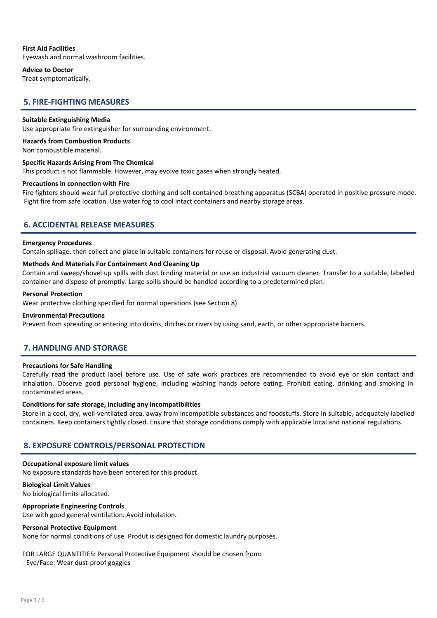## First Aid Facilities

Eyewash and normal washroom facilities.

#### Advice to Doctor

Treat symptomatically.

## 5. FIRE-FIGHTING MEASURES

#### Suitable Extinguishing Media

Use appropriate fire extinguisher for surrounding environment.

## Hazards from Combustion Products

Non combustible material.

#### Specific Hazards Arising From The Chemical

This product is not flammable. However, may evolve toxic gases when strongly heated.

#### Precautions in connection with Fire

Fire fighters should wear full protective clothing and self-contained breathing apparatus (SCBA) operated in positive pressure mode. Fight fire from safe location. Use water fog to cool intact containers and nearby storage areas.

## 6. ACCIDENTAL RELEASE MEASURES

#### Emergency Procedures

Contain spillage, then collect and place in suitable containers for reuse or disposal. Avoid generating dust.

#### Methods And Materials For Containment And Cleaning Up

Contain and sweep/shovel up spills with dust binding material or use an industrial vacuum cleaner. Transfer to a suitable, labelled container and dispose of promptly. Large spills should be handled according to a predetermined plan.

#### Personal Protection

Wear protective clothing specified for normal operations (see Section 8)

#### Environmental Precautions

Prevent from spreading or entering into drains, ditches or rivers by using sand, earth, or other appropriate barriers.

## 7. HANDLING AND STORAGE

#### Precautions for Safe Handling

Carefully read the product label before use. Use of safe work practices are recommended to avoid eye or skin contact and inhalation. Observe good personal hygiene, including washing hands before eating. Prohibit eating, drinking and smoking in contaminated areas.

#### Conditions for safe storage, including any incompatibilities

Store in a cool, dry, well-ventilated area, away from incompatible substances and foodstuffs. Store in suitable, adequately labelled containers. Keep containers tightly closed. Ensure that storage conditions comply with applicable local and national regulations.

## 8. EXPOSURE CONTROLS/PERSONAL PROTECTION

#### Occupational exposure limit values

No exposure standards have been entered for this product.

## Biological Limit Values

No biological limits allocated.

## Appropriate Engineering Controls

Use with good general ventilation. Avoid inhalation.

#### Personal Protective Equipment

None for normal conditions of use. Produt is designed for domestic laundry purposes.

## FOR LARGE QUANTITIES: Personal Protective Equipment should be chosen from:

- Eye/Face: Wear dust-proof goggles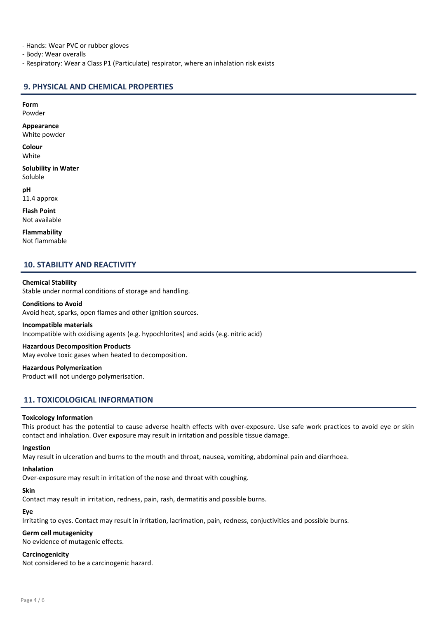- Hands: Wear PVC or rubber gloves

- Body: Wear overalls

- Respiratory: Wear a Class P1 (Particulate) respirator, where an inhalation risk exists

## 9. PHYSICAL AND CHEMICAL PROPERTIES

## Form

Powder

Appearance

White powder

Colour White

Solubility in Water Soluble

pH 11.4 approx

Flash Point Not available

Flammability Not flammable

## 10. STABILITY AND REACTIVITY

## Chemical Stability

Stable under normal conditions of storage and handling.

## Conditions to Avoid

Avoid heat, sparks, open flames and other ignition sources.

#### Incompatible materials

Incompatible with oxidising agents (e.g. hypochlorites) and acids (e.g. nitric acid)

## Hazardous Decomposition Products

May evolve toxic gases when heated to decomposition.

Hazardous Polymerization Product will not undergo polymerisation.

## 11. TOXICOLOGICAL INFORMATION

## Toxicology Information

This product has the potential to cause adverse health effects with over-exposure. Use safe work practices to avoid eye or skin contact and inhalation. Over exposure may result in irritation and possible tissue damage.

#### Ingestion

May result in ulceration and burns to the mouth and throat, nausea, vomiting, abdominal pain and diarrhoea.

#### Inhalation

Over-exposure may result in irritation of the nose and throat with coughing.

## Skin

Contact may result in irritation, redness, pain, rash, dermatitis and possible burns.

# Eye

Irritating to eyes. Contact may result in irritation, lacrimation, pain, redness, conjuctivities and possible burns.

## Germ cell mutagenicity

No evidence of mutagenic effects.

## Carcinogenicity

Not considered to be a carcinogenic hazard.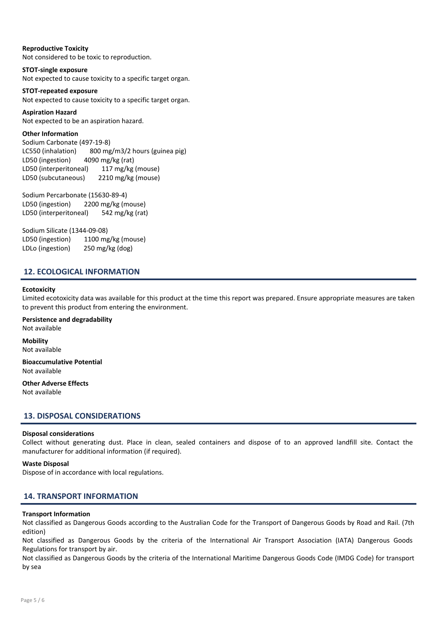## Reproductive Toxicity

Not considered to be toxic to reproduction.

STOT-single exposure Not expected to cause toxicity to a specific target organ.

## STOT-repeated exposure

Not expected to cause toxicity to a specific target organ.

Aspiration Hazard Not expected to be an aspiration hazard.

## Other Information

Sodium Carbonate (497-19-8) LC550 (inhalation) 800 mg/m3/2 hours (guinea pig) LD50 (ingestion) 4090 mg/kg (rat) LD50 (interperitoneal) 117 mg/kg (mouse) LD50 (subcutaneous) 2210 mg/kg (mouse)

Sodium Percarbonate (15630-89-4) LD50 (ingestion) 2200 mg/kg (mouse) LD50 (interperitoneal) 542 mg/kg (rat)

Sodium Silicate (1344-09-08) LD50 (ingestion) 1100 mg/kg (mouse) LDLo (ingestion) 250 mg/kg (dog)

## 12. ECOLOGICAL INFORMATION

## **Ecotoxicity**

Limited ecotoxicity data was available for this product at the time this report was prepared. Ensure appropriate measures are taken to prevent this product from entering the environment.

Persistence and degradability Not available

Mobility Not available

Bioaccumulative Potential Not available

Other Adverse Effects Not available

## 13. DISPOSAL CONSIDERATIONS

## Disposal considerations

Collect without generating dust. Place in clean, sealed containers and dispose of to an approved landfill site. Contact the manufacturer for additional information (if required).

## Waste Disposal

Dispose of in accordance with local regulations.

## 14. TRANSPORT INFORMATION

## Transport Information

Not classified as Dangerous Goods according to the Australian Code for the Transport of Dangerous Goods by Road and Rail. (7th edition)

Not classified as Dangerous Goods by the criteria of the International Air Transport Association (IATA) Dangerous Goods Regulations for transport by air.

Not classified as Dangerous Goods by the criteria of the International Maritime Dangerous Goods Code (IMDG Code) for transport by sea